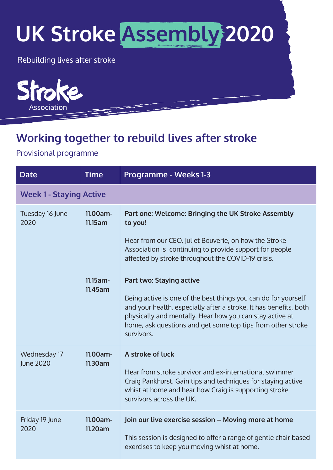## **UK Stroke Assembly 2020**

Rebuilding lives after stroke



## **Working together to rebuild lives after stroke**

Provisional programme

| <b>Date</b>                      | <b>Time</b>         | <b>Programme - Weeks 1-3</b>                                                                                                                                                                                                                                                 |  |
|----------------------------------|---------------------|------------------------------------------------------------------------------------------------------------------------------------------------------------------------------------------------------------------------------------------------------------------------------|--|
| <b>Week 1 - Staying Active</b>   |                     |                                                                                                                                                                                                                                                                              |  |
| Tuesday 16 June<br>2020          | 11.00am-<br>11.15am | Part one: Welcome: Bringing the UK Stroke Assembly<br>to you!                                                                                                                                                                                                                |  |
|                                  |                     | Hear from our CEO, Juliet Bouverie, on how the Stroke<br>Association is continuing to provide support for people<br>affected by stroke throughout the COVID-19 crisis.                                                                                                       |  |
|                                  | $11.15$ am-         | Part two: Staying active                                                                                                                                                                                                                                                     |  |
|                                  | 11.45am             | Being active is one of the best things you can do for yourself<br>and your health, especially after a stroke. It has benefits, both<br>physically and mentally. Hear how you can stay active at<br>home, ask questions and get some top tips from other stroke<br>survivors. |  |
| Wednesday 17<br><b>June 2020</b> | 11.00am-<br>11.30am | A stroke of luck                                                                                                                                                                                                                                                             |  |
|                                  |                     | Hear from stroke survivor and ex-international swimmer<br>Craig Pankhurst. Gain tips and techniques for staying active<br>whist at home and hear how Craig is supporting stroke<br>survivors across the UK.                                                                  |  |
| Friday 19 June<br>2020           | 11.00am-<br>11.20am | Join our live exercise session - Moving more at home                                                                                                                                                                                                                         |  |
|                                  |                     | This session is designed to offer a range of gentle chair based<br>exercises to keep you moving whist at home.                                                                                                                                                               |  |